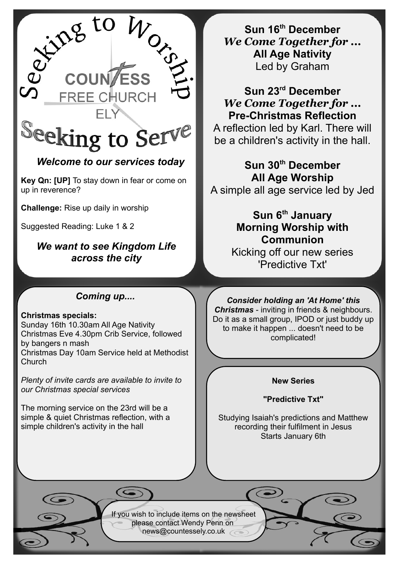

## *Welcome to our services today*

**Key Qn: [UP]** To stay down in fear or come on up in reverence?

**Challenge:** Rise up daily in worship

Suggested Reading: Luke 1 & 2

*We want to see Kingdom Life across the city*

### *Coming up....*

#### **Christmas specials:**

Sunday 16th 10.30am All Age Nativity Christmas Eve 4.30pm Crib Service, followed by bangers n mash Christmas Day 10am Service held at Methodist Church

*Plenty of invite cards are available to invite to our Christmas special services*

The morning service on the 23rd will be a simple & quiet Christmas reflection, with a simple children's activity in the hall

**Sun 16th December** *We Come Together for ...* **All Age Nativity** Led by Graham

**Sun 23rd December** *We Come Together for ...* **Pre-Christmas Reflection**

A reflection led by Karl. There will be a children's activity in the hall.

**Sun 30th December All Age Worship** A simple all age service led by Jed

## **Sun 6th January Morning Worship with Communion**

Kicking off our new series 'Predictive Txt'

*Consider holding an 'At Home' this Christmas* - inviting in friends & neighbours. Do it as a small group, IPOD or just buddy up to make it happen ... doesn't need to be complicated!

#### **New Series**

**"Predictive Txt"**

Studying Isaiah's predictions and Matthew recording their fulfilment in Jesus Starts January 6th

If you wish to include items on the newsheet please contact Wendy Penn on [news@countessely.co.uk](mailto:news@countessely.co.uk)